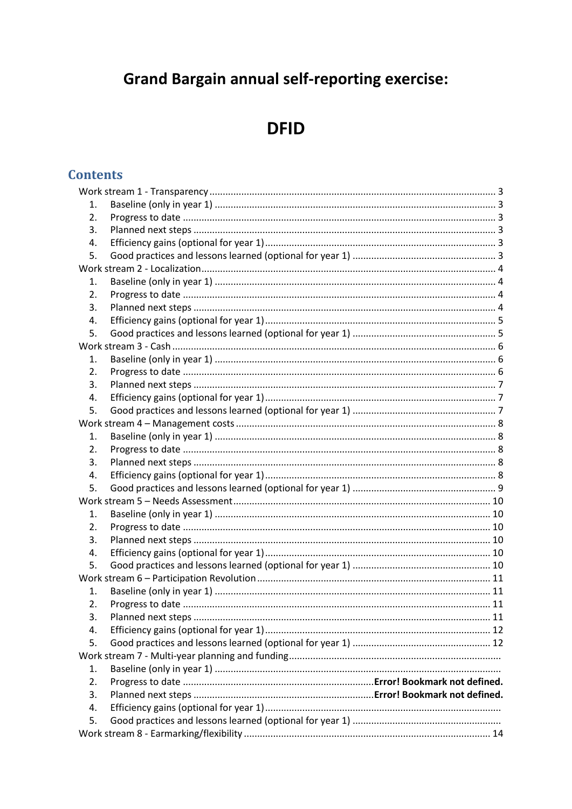# **Grand Bargain annual self-reporting exercise:**

# **DFID**

# **Contents**

| 1.               |  |  |  |
|------------------|--|--|--|
| 2.               |  |  |  |
| 3.               |  |  |  |
| 4.               |  |  |  |
| 5.               |  |  |  |
|                  |  |  |  |
| 1.               |  |  |  |
| $\overline{2}$ . |  |  |  |
| 3.               |  |  |  |
| 4.               |  |  |  |
| 5.               |  |  |  |
|                  |  |  |  |
| 1.               |  |  |  |
| 2.               |  |  |  |
| 3.               |  |  |  |
| 4.               |  |  |  |
| 5.               |  |  |  |
|                  |  |  |  |
| 1.               |  |  |  |
| 2.               |  |  |  |
| 3.               |  |  |  |
| 4.               |  |  |  |
| 5.               |  |  |  |
|                  |  |  |  |
| 1.               |  |  |  |
| 2.               |  |  |  |
| 3.               |  |  |  |
| 4.               |  |  |  |
| 5.               |  |  |  |
|                  |  |  |  |
| 1.               |  |  |  |
| 2.               |  |  |  |
| 3.               |  |  |  |
| 4.               |  |  |  |
| 5.               |  |  |  |
|                  |  |  |  |
| 1.               |  |  |  |
| 2.               |  |  |  |
| 3.               |  |  |  |
| 4.               |  |  |  |
| 5.               |  |  |  |
|                  |  |  |  |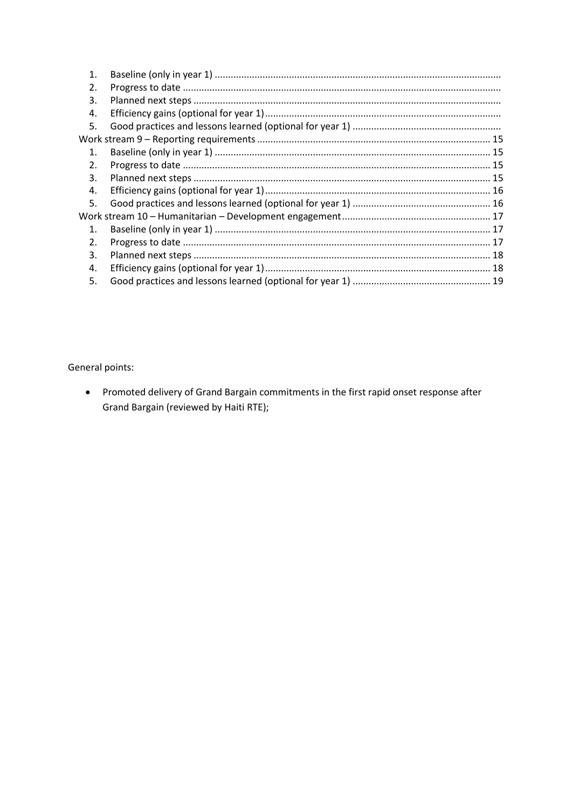| 1.             |  |
|----------------|--|
| 2.             |  |
| 3.             |  |
| 4.             |  |
| 5.             |  |
|                |  |
| $\mathbf{1}$ . |  |
| 2.             |  |
| 3.             |  |
| 4.             |  |
| 5.             |  |
|                |  |
| 1.             |  |
| 2.             |  |
| 3.             |  |
| 4.             |  |
| 5.             |  |

General points:

• Promoted delivery of Grand Bargain commitments in the first rapid onset response after Grand Bargain (reviewed by Haiti RTE);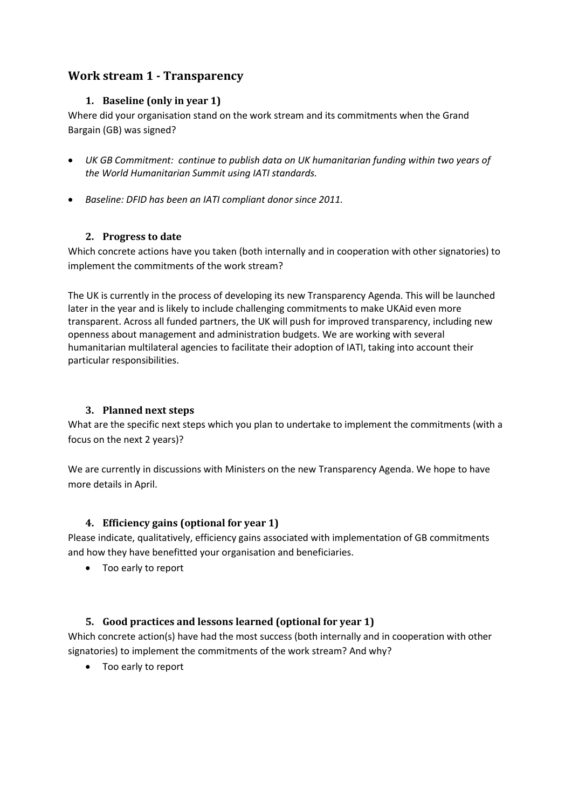# <span id="page-2-1"></span><span id="page-2-0"></span>**Work stream 1 - Transparency**

## **1. Baseline (only in year 1)**

Where did your organisation stand on the work stream and its commitments when the Grand Bargain (GB) was signed?

- *UK GB Commitment: continue to publish data on UK humanitarian funding within two years of the World Humanitarian Summit using IATI standards.*
- *Baseline: DFID has been an IATI compliant donor since 2011.*

#### <span id="page-2-2"></span>**2. Progress to date**

Which concrete actions have you taken (both internally and in cooperation with other signatories) to implement the commitments of the work stream?

The UK is currently in the process of developing its new Transparency Agenda. This will be launched later in the year and is likely to include challenging commitments to make UKAid even more transparent. Across all funded partners, the UK will push for improved transparency, including new openness about management and administration budgets. We are working with several humanitarian multilateral agencies to facilitate their adoption of IATI, taking into account their particular responsibilities.

## <span id="page-2-3"></span>**3. Planned next steps**

What are the specific next steps which you plan to undertake to implement the commitments (with a focus on the next 2 years)?

We are currently in discussions with Ministers on the new Transparency Agenda. We hope to have more details in April.

## <span id="page-2-4"></span>**4. Efficiency gains (optional for year 1)**

Please indicate, qualitatively, efficiency gains associated with implementation of GB commitments and how they have benefitted your organisation and beneficiaries.

Too early to report

## <span id="page-2-5"></span>**5. Good practices and lessons learned (optional for year 1)**

Which concrete action(s) have had the most success (both internally and in cooperation with other signatories) to implement the commitments of the work stream? And why?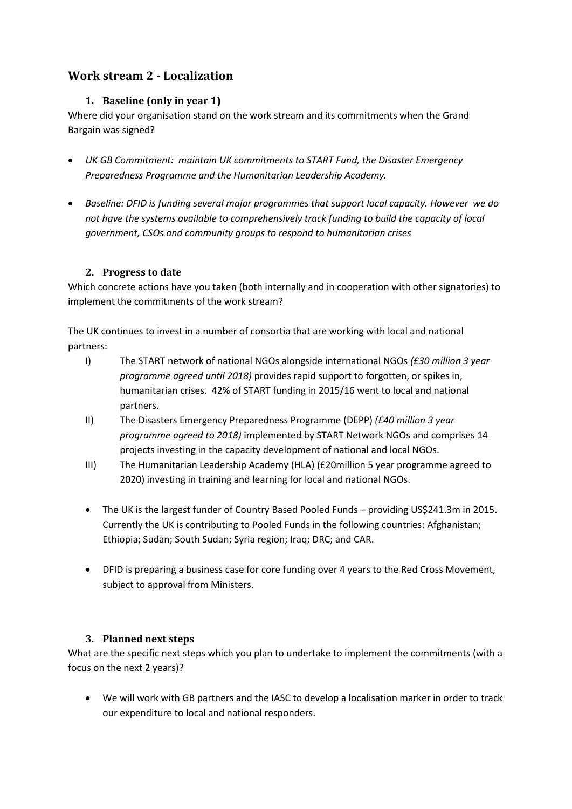# <span id="page-3-1"></span><span id="page-3-0"></span>**Work stream 2 - Localization**

## **1. Baseline (only in year 1)**

Where did your organisation stand on the work stream and its commitments when the Grand Bargain was signed?

- *UK GB Commitment: maintain UK commitments to START Fund, the Disaster Emergency Preparedness Programme and the Humanitarian Leadership Academy.*
- *Baseline: DFID is funding several major programmes that support local capacity. However we do not have the systems available to comprehensively track funding to build the capacity of local government, CSOs and community groups to respond to humanitarian crises*

#### <span id="page-3-2"></span>**2. Progress to date**

Which concrete actions have you taken (both internally and in cooperation with other signatories) to implement the commitments of the work stream?

The UK continues to invest in a number of consortia that are working with local and national partners:

- I) The START network of national NGOs alongside international NGOs *(£30 million 3 year programme agreed until 2018)* provides rapid support to forgotten, or spikes in, humanitarian crises. 42% of START funding in 2015/16 went to local and national partners.
- II) The Disasters Emergency Preparedness Programme (DEPP) *(£40 million 3 year programme agreed to 2018)* implemented by START Network NGOs and comprises 14 projects investing in the capacity development of national and local NGOs.
- III) The Humanitarian Leadership Academy (HLA) (£20million 5 year programme agreed to 2020) investing in training and learning for local and national NGOs.
- The UK is the largest funder of Country Based Pooled Funds providing US\$241.3m in 2015. Currently the UK is contributing to Pooled Funds in the following countries: Afghanistan; Ethiopia; Sudan; South Sudan; Syria region; Iraq; DRC; and CAR.
- DFID is preparing a business case for core funding over 4 years to the Red Cross Movement, subject to approval from Ministers.

## **3. Planned next steps**

<span id="page-3-3"></span>What are the specific next steps which you plan to undertake to implement the commitments (with a focus on the next 2 years)?

 We will work with GB partners and the IASC to develop a localisation marker in order to track our expenditure to local and national responders.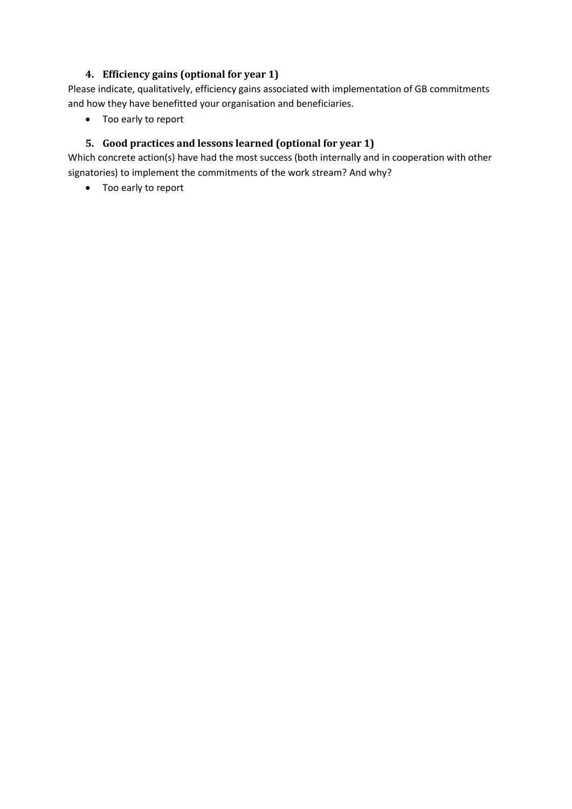# **4. Efficiency gains (optional for year 1)**

<span id="page-4-0"></span>Please indicate, qualitatively, efficiency gains associated with implementation of GB commitments and how they have benefitted your organisation and beneficiaries.

• Too early to report

# <span id="page-4-1"></span>**5. Good practices and lessons learned (optional for year 1)**

Which concrete action(s) have had the most success (both internally and in cooperation with other signatories) to implement the commitments of the work stream? And why?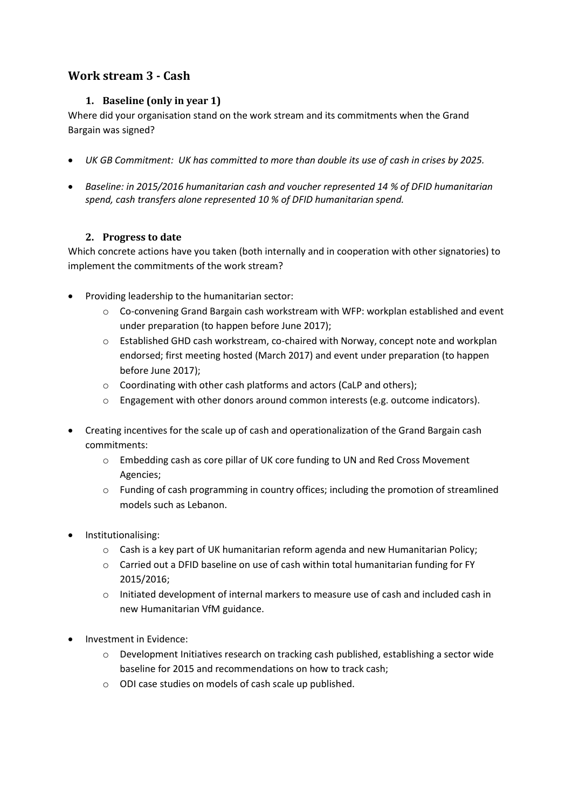# <span id="page-5-1"></span><span id="page-5-0"></span>**Work stream 3 - Cash**

# **1. Baseline (only in year 1)**

Where did your organisation stand on the work stream and its commitments when the Grand Bargain was signed?

- *UK GB Commitment: UK has committed to more than double its use of cash in crises by 2025.*
- *Baseline: in 2015/2016 humanitarian cash and voucher represented 14 % of DFID humanitarian spend, cash transfers alone represented 10 % of DFID humanitarian spend.*

#### **2. Progress to date**

<span id="page-5-2"></span>Which concrete actions have you taken (both internally and in cooperation with other signatories) to implement the commitments of the work stream?

- Providing leadership to the humanitarian sector:
	- $\circ$  Co-convening Grand Bargain cash workstream with WFP: workplan established and event under preparation (to happen before June 2017);
	- o Established GHD cash workstream, co-chaired with Norway, concept note and workplan endorsed; first meeting hosted (March 2017) and event under preparation (to happen before June 2017);
	- o Coordinating with other cash platforms and actors (CaLP and others);
	- $\circ$  Engagement with other donors around common interests (e.g. outcome indicators).
- Creating incentives for the scale up of cash and operationalization of the Grand Bargain cash commitments:
	- o Embedding cash as core pillar of UK core funding to UN and Red Cross Movement Agencies;
	- $\circ$  Funding of cash programming in country offices; including the promotion of streamlined models such as Lebanon.
- Institutionalising:
	- $\circ$  Cash is a key part of UK humanitarian reform agenda and new Humanitarian Policy;
	- $\circ$  Carried out a DFID baseline on use of cash within total humanitarian funding for FY 2015/2016;
	- $\circ$  Initiated development of internal markers to measure use of cash and included cash in new Humanitarian VfM guidance.
- Investment in Evidence:
	- $\circ$  Development Initiatives research on tracking cash published, establishing a sector wide baseline for 2015 and recommendations on how to track cash;
	- o ODI case studies on models of cash scale up published.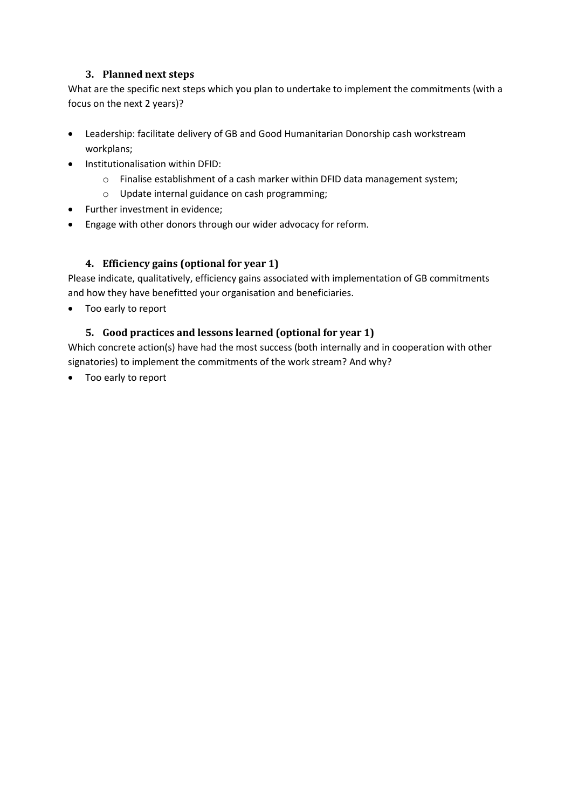## **3. Planned next steps**

<span id="page-6-0"></span>What are the specific next steps which you plan to undertake to implement the commitments (with a focus on the next 2 years)?

- Leadership: facilitate delivery of GB and Good Humanitarian Donorship cash workstream workplans;
- Institutionalisation within DFID:
	- o Finalise establishment of a cash marker within DFID data management system;
	- o Update internal guidance on cash programming;
- Further investment in evidence;
- Engage with other donors through our wider advocacy for reform.

## <span id="page-6-1"></span>**4. Efficiency gains (optional for year 1)**

Please indicate, qualitatively, efficiency gains associated with implementation of GB commitments and how they have benefitted your organisation and beneficiaries.

<span id="page-6-2"></span>Too early to report

#### **5. Good practices and lessons learned (optional for year 1)**

Which concrete action(s) have had the most success (both internally and in cooperation with other signatories) to implement the commitments of the work stream? And why?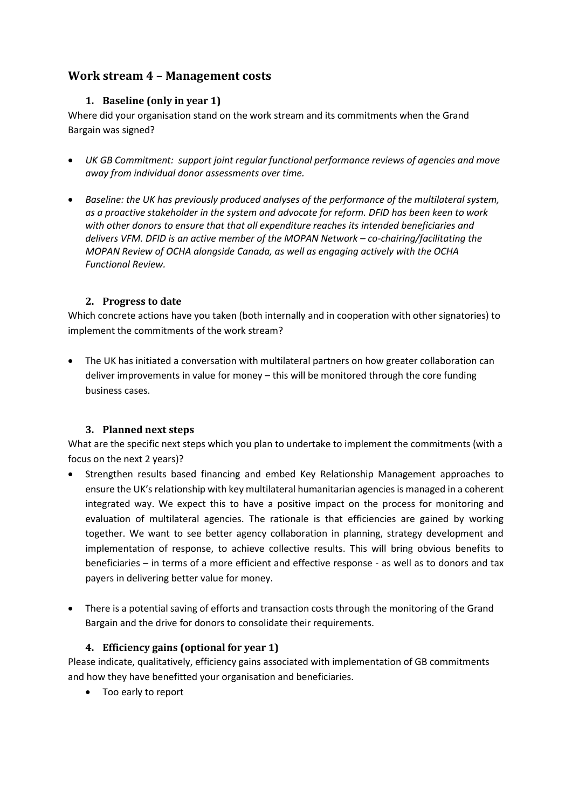# <span id="page-7-1"></span><span id="page-7-0"></span>**Work stream 4 – Management costs**

# **1. Baseline (only in year 1)**

Where did your organisation stand on the work stream and its commitments when the Grand Bargain was signed?

- *UK GB Commitment: support joint regular functional performance reviews of agencies and move away from individual donor assessments over time.*
- *Baseline: the UK has previously produced analyses of the performance of the multilateral system, as a proactive stakeholder in the system and advocate for reform. DFID has been keen to work with other donors to ensure that that all expenditure reaches its intended beneficiaries and delivers VFM. DFID is an active member of the MOPAN Network – co-chairing/facilitating the MOPAN Review of OCHA alongside Canada, as well as engaging actively with the OCHA Functional Review.*

## <span id="page-7-2"></span>**2. Progress to date**

Which concrete actions have you taken (both internally and in cooperation with other signatories) to implement the commitments of the work stream?

 The UK has initiated a conversation with multilateral partners on how greater collaboration can deliver improvements in value for money – this will be monitored through the core funding business cases.

# <span id="page-7-3"></span>**3. Planned next steps**

What are the specific next steps which you plan to undertake to implement the commitments (with a focus on the next 2 years)?

- Strengthen results based financing and embed Key Relationship Management approaches to ensure the UK's relationship with key multilateral humanitarian agencies is managed in a coherent integrated way. We expect this to have a positive impact on the process for monitoring and evaluation of multilateral agencies. The rationale is that efficiencies are gained by working together. We want to see better agency collaboration in planning, strategy development and implementation of response, to achieve collective results. This will bring obvious benefits to beneficiaries – in terms of a more efficient and effective response - as well as to donors and tax payers in delivering better value for money.
- There is a potential saving of efforts and transaction costs through the monitoring of the Grand Bargain and the drive for donors to consolidate their requirements.

## <span id="page-7-4"></span>**4. Efficiency gains (optional for year 1)**

Please indicate, qualitatively, efficiency gains associated with implementation of GB commitments and how they have benefitted your organisation and beneficiaries.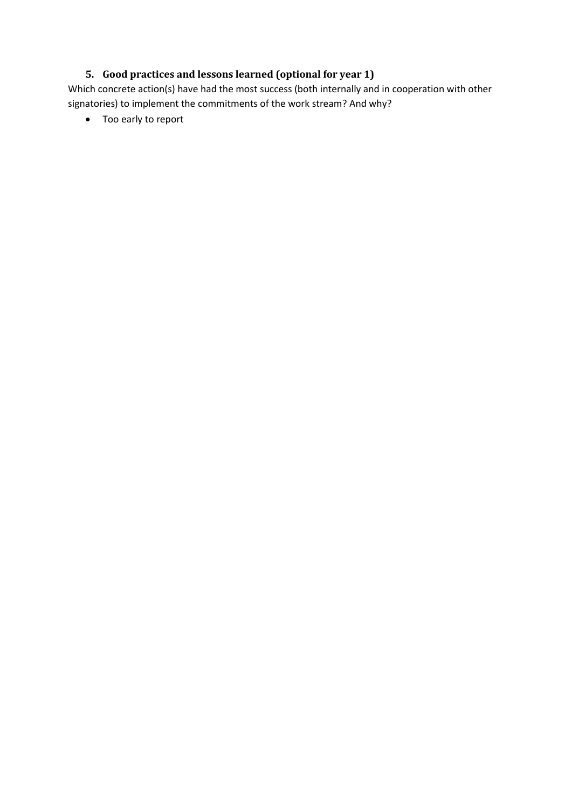# **5. Good practices and lessons learned (optional for year 1)**

<span id="page-8-0"></span>Which concrete action(s) have had the most success (both internally and in cooperation with other signatories) to implement the commitments of the work stream? And why?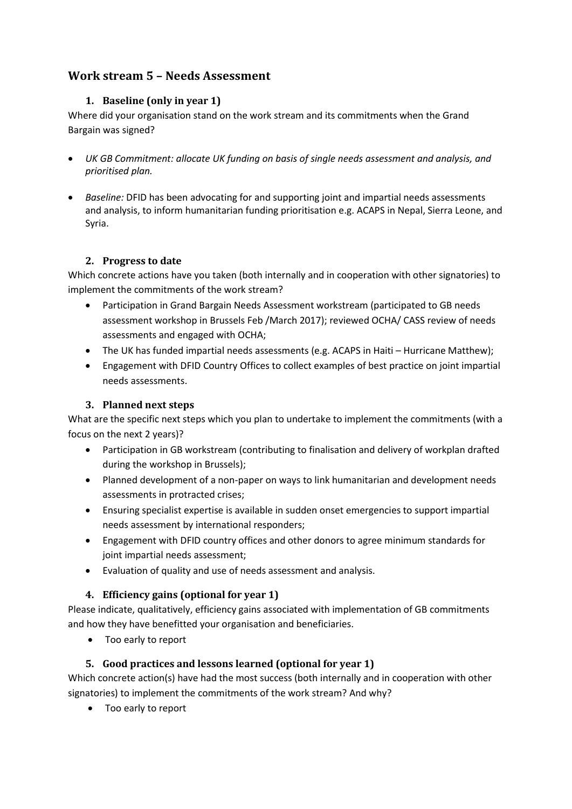# <span id="page-9-1"></span><span id="page-9-0"></span>**Work stream 5 – Needs Assessment**

# **1. Baseline (only in year 1)**

Where did your organisation stand on the work stream and its commitments when the Grand Bargain was signed?

- *UK GB Commitment: allocate UK funding on basis of single needs assessment and analysis, and prioritised plan.*
- *Baseline:* DFID has been advocating for and supporting joint and impartial needs assessments and analysis, to inform humanitarian funding prioritisation e.g. ACAPS in Nepal, Sierra Leone, and Syria.

## **2. Progress to date**

<span id="page-9-2"></span>Which concrete actions have you taken (both internally and in cooperation with other signatories) to implement the commitments of the work stream?

- Participation in Grand Bargain Needs Assessment workstream (participated to GB needs assessment workshop in Brussels Feb /March 2017); reviewed OCHA/ CASS review of needs assessments and engaged with OCHA;
- The UK has funded impartial needs assessments (e.g. ACAPS in Haiti Hurricane Matthew);
- Engagement with DFID Country Offices to collect examples of best practice on joint impartial needs assessments.

# <span id="page-9-3"></span>**3. Planned next steps**

What are the specific next steps which you plan to undertake to implement the commitments (with a focus on the next 2 years)?

- Participation in GB workstream (contributing to finalisation and delivery of workplan drafted during the workshop in Brussels);
- Planned development of a non-paper on ways to link humanitarian and development needs assessments in protracted crises;
- Ensuring specialist expertise is available in sudden onset emergencies to support impartial needs assessment by international responders;
- Engagement with DFID country offices and other donors to agree minimum standards for joint impartial needs assessment;
- Evaluation of quality and use of needs assessment and analysis.

# <span id="page-9-4"></span>**4. Efficiency gains (optional for year 1)**

Please indicate, qualitatively, efficiency gains associated with implementation of GB commitments and how they have benefitted your organisation and beneficiaries.

Too early to report

# <span id="page-9-5"></span>**5. Good practices and lessons learned (optional for year 1)**

Which concrete action(s) have had the most success (both internally and in cooperation with other signatories) to implement the commitments of the work stream? And why?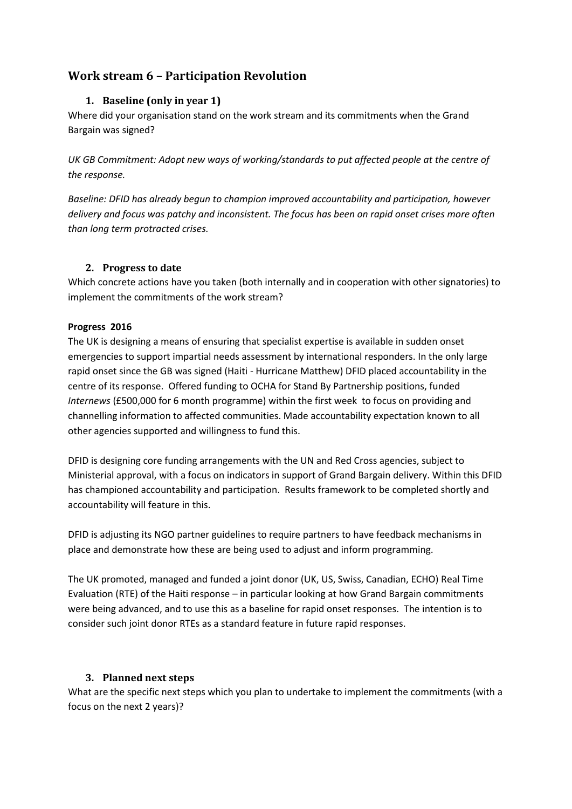# <span id="page-10-1"></span><span id="page-10-0"></span>**Work stream 6 – Participation Revolution**

## **1. Baseline (only in year 1)**

Where did your organisation stand on the work stream and its commitments when the Grand Bargain was signed?

*UK GB Commitment: Adopt new ways of working/standards to put affected people at the centre of the response.* 

*Baseline: DFID has already begun to champion improved accountability and participation, however delivery and focus was patchy and inconsistent. The focus has been on rapid onset crises more often than long term protracted crises.*

#### <span id="page-10-2"></span>**2. Progress to date**

Which concrete actions have you taken (both internally and in cooperation with other signatories) to implement the commitments of the work stream?

#### **Progress 2016**

The UK is designing a means of ensuring that specialist expertise is available in sudden onset emergencies to support impartial needs assessment by international responders. In the only large rapid onset since the GB was signed (Haiti - Hurricane Matthew) DFID placed accountability in the centre of its response. Offered funding to OCHA for Stand By Partnership positions, funded *Internews* (£500,000 for 6 month programme) within the first week to focus on providing and channelling information to affected communities. Made accountability expectation known to all other agencies supported and willingness to fund this.

DFID is designing core funding arrangements with the UN and Red Cross agencies, subject to Ministerial approval, with a focus on indicators in support of Grand Bargain delivery. Within this DFID has championed accountability and participation. Results framework to be completed shortly and accountability will feature in this.

DFID is adjusting its NGO partner guidelines to require partners to have feedback mechanisms in place and demonstrate how these are being used to adjust and inform programming.

The UK promoted, managed and funded a joint donor (UK, US, Swiss, Canadian, ECHO) Real Time Evaluation (RTE) of the Haiti response – in particular looking at how Grand Bargain commitments were being advanced, and to use this as a baseline for rapid onset responses. The intention is to consider such joint donor RTEs as a standard feature in future rapid responses.

## <span id="page-10-3"></span>**3. Planned next steps**

What are the specific next steps which you plan to undertake to implement the commitments (with a focus on the next 2 years)?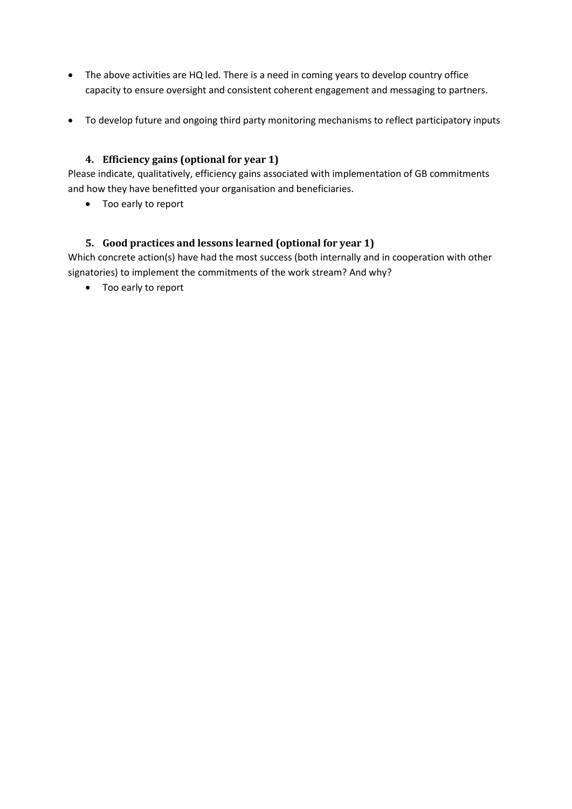- The above activities are HQ led. There is a need in coming years to develop country office capacity to ensure oversight and consistent coherent engagement and messaging to partners.
- To develop future and ongoing third party monitoring mechanisms to reflect participatory inputs

### <span id="page-11-0"></span>**4. Efficiency gains (optional for year 1)**

Please indicate, qualitatively, efficiency gains associated with implementation of GB commitments and how they have benefitted your organisation and beneficiaries.

• Too early to report

#### <span id="page-11-1"></span>**5. Good practices and lessons learned (optional for year 1)**

Which concrete action(s) have had the most success (both internally and in cooperation with other signatories) to implement the commitments of the work stream? And why?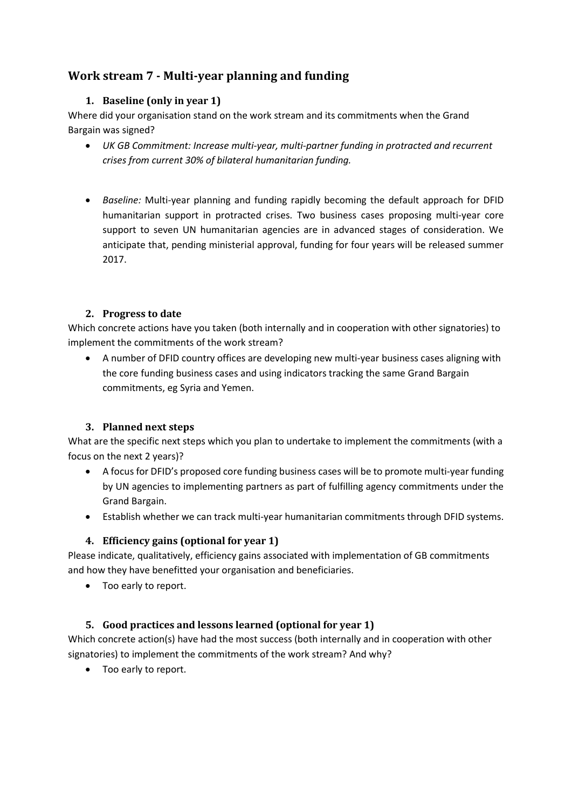# **Work stream 7 - Multi-year planning and funding**

# **1. Baseline (only in year 1)**

Where did your organisation stand on the work stream and its commitments when the Grand Bargain was signed?

- *UK GB Commitment: Increase multi-year, multi-partner funding in protracted and recurrent crises from current 30% of bilateral humanitarian funding.*
- *Baseline:* Multi-year planning and funding rapidly becoming the default approach for DFID humanitarian support in protracted crises*.* Two business cases proposing multi-year core support to seven UN humanitarian agencies are in advanced stages of consideration. We anticipate that, pending ministerial approval, funding for four years will be released summer 2017.

## **2. Progress to date**

Which concrete actions have you taken (both internally and in cooperation with other signatories) to implement the commitments of the work stream?

 A number of DFID country offices are developing new multi-year business cases aligning with the core funding business cases and using indicators tracking the same Grand Bargain commitments, eg Syria and Yemen.

## **3. Planned next steps**

What are the specific next steps which you plan to undertake to implement the commitments (with a focus on the next 2 years)?

- A focus for DFID's proposed core funding business cases will be to promote multi-year funding by UN agencies to implementing partners as part of fulfilling agency commitments under the Grand Bargain.
- Establish whether we can track multi-year humanitarian commitments through DFID systems.

# **4. Efficiency gains (optional for year 1)**

Please indicate, qualitatively, efficiency gains associated with implementation of GB commitments and how they have benefitted your organisation and beneficiaries.

• Too early to report.

# **5. Good practices and lessons learned (optional for year 1)**

Which concrete action(s) have had the most success (both internally and in cooperation with other signatories) to implement the commitments of the work stream? And why?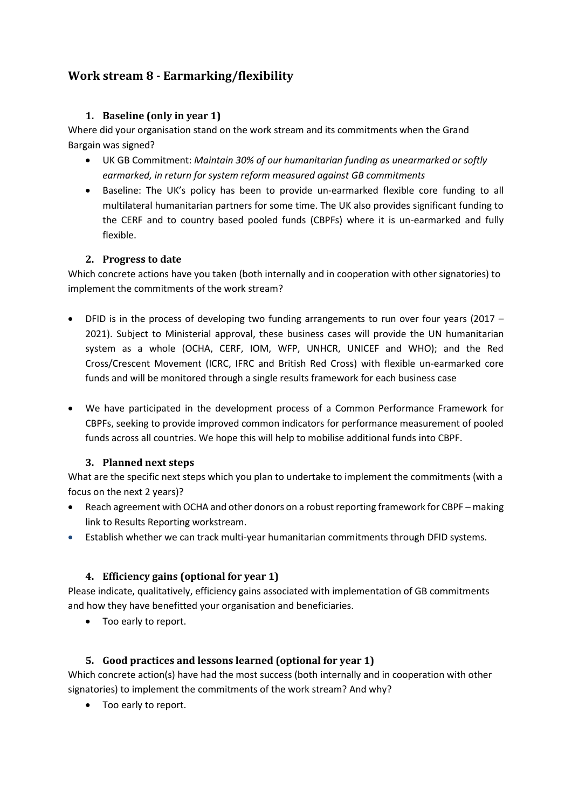# <span id="page-13-0"></span>**Work stream 8 - Earmarking/flexibility**

# **1. Baseline (only in year 1)**

Where did your organisation stand on the work stream and its commitments when the Grand Bargain was signed?

- UK GB Commitment: *Maintain 30% of our humanitarian funding as unearmarked or softly earmarked, in return for system reform measured against GB commitments*
- Baseline: The UK's policy has been to provide un-earmarked flexible core funding to all multilateral humanitarian partners for some time. The UK also provides significant funding to the CERF and to country based pooled funds (CBPFs) where it is un-earmarked and fully flexible.

# **2. Progress to date**

Which concrete actions have you taken (both internally and in cooperation with other signatories) to implement the commitments of the work stream?

- DFID is in the process of developing two funding arrangements to run over four years (2017 2021). Subject to Ministerial approval, these business cases will provide the UN humanitarian system as a whole (OCHA, CERF, IOM, WFP, UNHCR, UNICEF and WHO); and the Red Cross/Crescent Movement (ICRC, IFRC and British Red Cross) with flexible un-earmarked core funds and will be monitored through a single results framework for each business case
- We have participated in the development process of a Common Performance Framework for CBPFs, seeking to provide improved common indicators for performance measurement of pooled funds across all countries. We hope this will help to mobilise additional funds into CBPF.

## **3. Planned next steps**

What are the specific next steps which you plan to undertake to implement the commitments (with a focus on the next 2 years)?

- Reach agreement with OCHA and other donors on a robust reporting framework for CBPF making link to Results Reporting workstream.
- Establish whether we can track multi-year humanitarian commitments through DFID systems.

# **4. Efficiency gains (optional for year 1)**

Please indicate, qualitatively, efficiency gains associated with implementation of GB commitments and how they have benefitted your organisation and beneficiaries.

Too early to report.

# **5. Good practices and lessons learned (optional for year 1)**

Which concrete action(s) have had the most success (both internally and in cooperation with other signatories) to implement the commitments of the work stream? And why?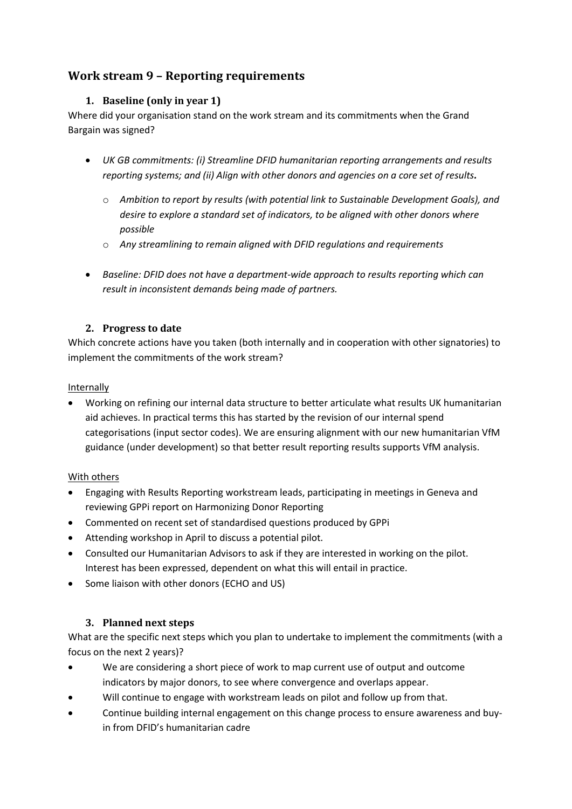# <span id="page-14-1"></span><span id="page-14-0"></span>**Work stream 9 – Reporting requirements**

# **1. Baseline (only in year 1)**

Where did your organisation stand on the work stream and its commitments when the Grand Bargain was signed?

- *UK GB commitments: (i) Streamline DFID humanitarian reporting arrangements and results reporting systems; and (ii) Align with other donors and agencies on a core set of results.* 
	- o *Ambition to report by results (with potential link to Sustainable Development Goals), and desire to explore a standard set of indicators, to be aligned with other donors where possible*
	- o *Any streamlining to remain aligned with DFID regulations and requirements*
- *Baseline: DFID does not have a department-wide approach to results reporting which can result in inconsistent demands being made of partners.*

#### <span id="page-14-2"></span>**2. Progress to date**

Which concrete actions have you taken (both internally and in cooperation with other signatories) to implement the commitments of the work stream?

#### Internally

 Working on refining our internal data structure to better articulate what results UK humanitarian aid achieves. In practical terms this has started by the revision of our internal spend categorisations (input sector codes). We are ensuring alignment with our new humanitarian VfM guidance (under development) so that better result reporting results supports VfM analysis.

## With others

- Engaging with Results Reporting workstream leads, participating in meetings in Geneva and reviewing GPPi report on Harmonizing Donor Reporting
- Commented on recent set of standardised questions produced by GPPi
- Attending workshop in April to discuss a potential pilot.
- Consulted our Humanitarian Advisors to ask if they are interested in working on the pilot. Interest has been expressed, dependent on what this will entail in practice.
- Some liaison with other donors (ECHO and US)

## <span id="page-14-3"></span>**3. Planned next steps**

What are the specific next steps which you plan to undertake to implement the commitments (with a focus on the next 2 years)?

- We are considering a short piece of work to map current use of output and outcome indicators by major donors, to see where convergence and overlaps appear.
- Will continue to engage with workstream leads on pilot and follow up from that.
- Continue building internal engagement on this change process to ensure awareness and buyin from DFID's humanitarian cadre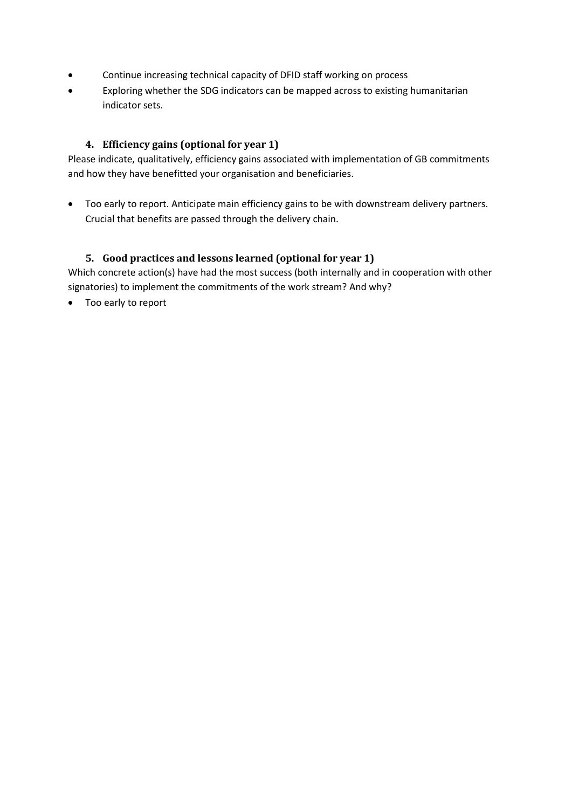- Continue increasing technical capacity of DFID staff working on process
- Exploring whether the SDG indicators can be mapped across to existing humanitarian indicator sets.

#### <span id="page-15-0"></span>**4. Efficiency gains (optional for year 1)**

Please indicate, qualitatively, efficiency gains associated with implementation of GB commitments and how they have benefitted your organisation and beneficiaries.

 Too early to report. Anticipate main efficiency gains to be with downstream delivery partners. Crucial that benefits are passed through the delivery chain.

#### <span id="page-15-1"></span>**5. Good practices and lessons learned (optional for year 1)**

Which concrete action(s) have had the most success (both internally and in cooperation with other signatories) to implement the commitments of the work stream? And why?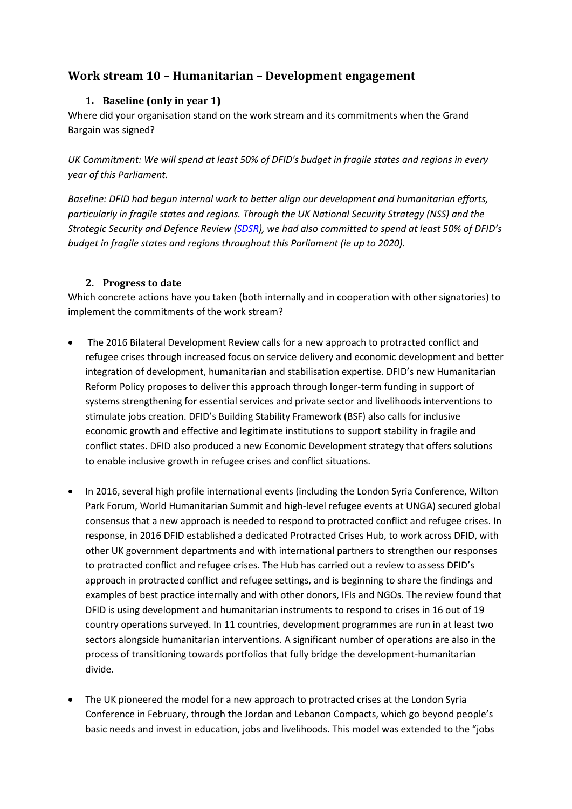# <span id="page-16-1"></span><span id="page-16-0"></span>**Work stream 10 – Humanitarian – Development engagement**

# **1. Baseline (only in year 1)**

Where did your organisation stand on the work stream and its commitments when the Grand Bargain was signed?

*UK Commitment: We will spend at least 50% of DFID's budget in fragile states and regions in every year of this Parliament.*

*Baseline: DFID had begun internal work to better align our development and humanitarian efforts, particularly in fragile states and regions. Through the UK National Security Strategy (NSS) and the Strategic Security and Defence Review [\(SDSR](https://www.gov.uk/government/uploads/system/uploads/attachment_data/file/478936/52309_Cm_9161_NSS_SD_Review_PRINT_only.pdf)), we had also committed to spend at least 50% of DFID's budget in fragile states and regions throughout this Parliament (ie up to 2020).* 

## <span id="page-16-2"></span>**2. Progress to date**

Which concrete actions have you taken (both internally and in cooperation with other signatories) to implement the commitments of the work stream?

- The 2016 Bilateral Development Review calls for a new approach to protracted conflict and refugee crises through increased focus on service delivery and economic development and better integration of development, humanitarian and stabilisation expertise. DFID's new Humanitarian Reform Policy proposes to deliver this approach through longer-term funding in support of systems strengthening for essential services and private sector and livelihoods interventions to stimulate jobs creation. DFID's Building Stability Framework (BSF) also calls for inclusive economic growth and effective and legitimate institutions to support stability in fragile and conflict states. DFID also produced a new Economic Development strategy that offers solutions to enable inclusive growth in refugee crises and conflict situations.
- In 2016, several high profile international events (including the London Syria Conference, Wilton Park Forum, World Humanitarian Summit and high-level refugee events at UNGA) secured global consensus that a new approach is needed to respond to protracted conflict and refugee crises. In response, in 2016 DFID established a dedicated Protracted Crises Hub, to work across DFID, with other UK government departments and with international partners to strengthen our responses to protracted conflict and refugee crises. The Hub has carried out a review to assess DFID's approach in protracted conflict and refugee settings, and is beginning to share the findings and examples of best practice internally and with other donors, IFIs and NGOs. The review found that DFID is using development and humanitarian instruments to respond to crises in 16 out of 19 country operations surveyed. In 11 countries, development programmes are run in at least two sectors alongside humanitarian interventions. A significant number of operations are also in the process of transitioning towards portfolios that fully bridge the development-humanitarian divide.
- The UK pioneered the model for a new approach to protracted crises at the London Syria Conference in February, through the Jordan and Lebanon Compacts, which go beyond people's basic needs and invest in education, jobs and livelihoods. This model was extended to the "jobs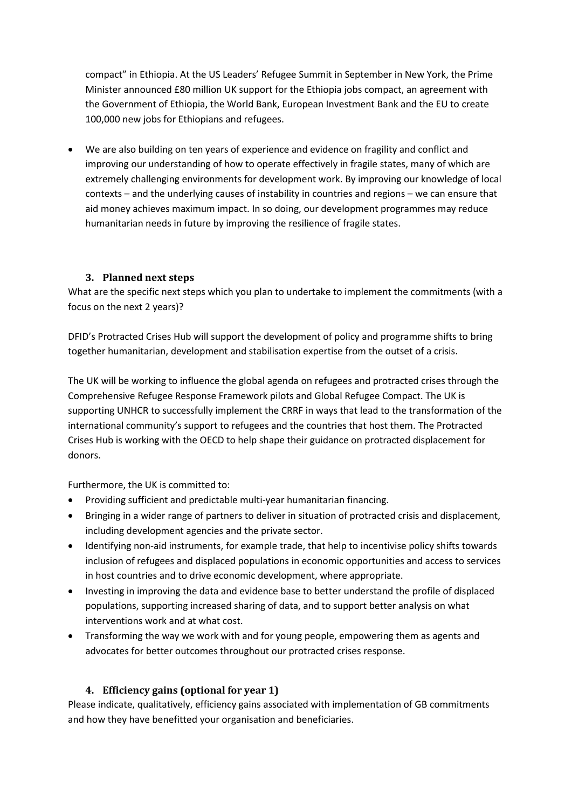compact" in Ethiopia. At the US Leaders' Refugee Summit in September in New York, the Prime Minister announced £80 million UK support for the Ethiopia jobs compact, an agreement with the Government of Ethiopia, the World Bank, European Investment Bank and the EU to create 100,000 new jobs for Ethiopians and refugees.

 We are also building on ten years of experience and evidence on fragility and conflict and improving our understanding of how to operate effectively in fragile states, many of which are extremely challenging environments for development work. By improving our knowledge of local contexts – and the underlying causes of instability in countries and regions – we can ensure that aid money achieves maximum impact. In so doing, our development programmes may reduce humanitarian needs in future by improving the resilience of fragile states.

## <span id="page-17-0"></span>**3. Planned next steps**

What are the specific next steps which you plan to undertake to implement the commitments (with a focus on the next 2 years)?

DFID's Protracted Crises Hub will support the development of policy and programme shifts to bring together humanitarian, development and stabilisation expertise from the outset of a crisis.

The UK will be working to influence the global agenda on refugees and protracted crises through the Comprehensive Refugee Response Framework pilots and Global Refugee Compact. The UK is supporting UNHCR to successfully implement the CRRF in ways that lead to the transformation of the international community's support to refugees and the countries that host them. The Protracted Crises Hub is working with the OECD to help shape their guidance on protracted displacement for donors.

Furthermore, the UK is committed to:

- Providing sufficient and predictable multi-year humanitarian financing.
- Bringing in a wider range of partners to deliver in situation of protracted crisis and displacement, including development agencies and the private sector.
- Identifying non-aid instruments, for example trade, that help to incentivise policy shifts towards inclusion of refugees and displaced populations in economic opportunities and access to services in host countries and to drive economic development, where appropriate.
- Investing in improving the data and evidence base to better understand the profile of displaced populations, supporting increased sharing of data, and to support better analysis on what interventions work and at what cost.
- Transforming the way we work with and for young people, empowering them as agents and advocates for better outcomes throughout our protracted crises response.

## <span id="page-17-1"></span>**4. Efficiency gains (optional for year 1)**

Please indicate, qualitatively, efficiency gains associated with implementation of GB commitments and how they have benefitted your organisation and beneficiaries.